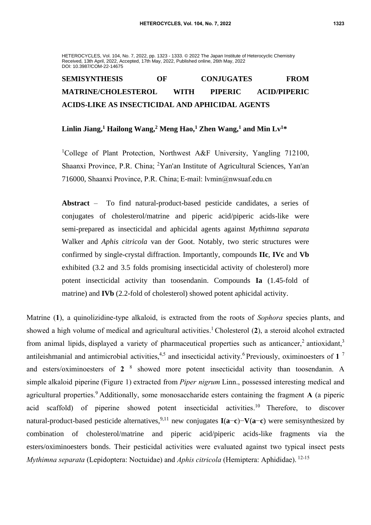#### HETEROCYCLES, Vol. 104, No. 7, 2022, pp. 1323 - 1333. © 2022 The Japan Institute of Heterocyclic Chemistry Received, 13th April, 2022, Accepted, 17th May, 2022, Published online, 26th May, 2022 DOI: 10.3987/COM-22-14675

# **SEMISYNTHESIS OF CONJUGATES FROM MATRINE/CHOLESTEROL WITH PIPERIC ACID/PIPERIC ACIDS-LIKE AS INSECTICIDAL AND APHICIDAL AGENTS**

#### **Linlin Jiang,<sup>1</sup> Hailong Wang,<sup>2</sup> Meng Hao,<sup>1</sup> Zhen Wang,<sup>1</sup> and Min Lv<sup>1</sup>\***

<sup>1</sup>College of Plant Protection, Northwest A&F University, Yangling 712100, Shaanxi Province, P.R. China; <sup>2</sup>Yan'an Institute of Agricultural Sciences, Yan'an 716000, Shaanxi Province, P.R. China; E-mail: lvmin@nwsuaf.edu.cn

**Abstract** – To find natural-product-based pesticide candidates, a series of conjugates of [cholesterol/](file:///F:/Dict/8.5.3.0/resultui/html/index.html%23/javascript:;)matrine and piperic acid/piperic acids-like were semi-prepared as insecticidal and aphicidal agents against *Mythimna separata* Walker and *Aphis citricola* van der Goot. Notably, two steric structures were confirmed by single-crystal diffraction. Importantly, compounds **IIc**, **IVc** and **Vb** exhibited (3.2 and 3.5 folds promising insecticidal activity of cholesterol) more potent insecticidal activity than toosendanin. Compounds **Ia** (1.45-fold of matrine) and **IVb** (2.2-fold of cholesterol) showed potent aphicidal activity.

Matrine (**1**), a quinolizidine-type alkaloid, is extracted from the roots of *Sophora* species plants, and showed a high volume of medical and agricultural activities. <sup>1</sup> Cholesterol (**2**), a steroid alcohol extracted from animal lipids, displayed a variety of pharmaceutical properties such as anticancer,<sup>2</sup> antioxidant,<sup>3</sup> antileishmanial and antimicrobial activities,<sup>4,5</sup> and insecticidal activity.<sup>6</sup> Previously, oximinoesters of 1<sup>7</sup> and esters/oximinoesters of **2** 8 showed more potent insecticidal activity than toosendanin. A simple [alkaloid](https://www.sciencedirect.com/topics/medicine-and-dentistry/alkaloid) [piperine](https://www.sciencedirect.com/topics/pharmacology-toxicology-and-pharmaceutical-science/piperine) [\(Figure](https://www.sciencedirect.com/science/article/pii/S0960894X17308326#f0005) 1) extracted from *Piper nigrum* Linn., possessed interesting medical and agricultural properties.<sup>9</sup> Additionally, some monosaccharide esters containing the fragment **A** (a piperic acid scaffold) of piperine showed potent insecticidal activities.<sup>10</sup> Therefore, to discover natural-product-based pesticide alternatives,<sup>9,11</sup> new conjugates **I**(**a**−**c**)−**V**(**a**−**c**) were semisynthesized by combination of [cholesterol/](file:///F:/Dict/8.5.3.0/resultui/html/index.html%23/javascript:;)matrine and piperic acid/piperic acids-like fragments via the esters/oximinoesters bonds. Their pesticidal activities were evaluated against two typical insect pests *Mythimna separata* (Lepidoptera: Noctuidae) and *Aphis citricola* (Hemiptera: Aphididae). 12-15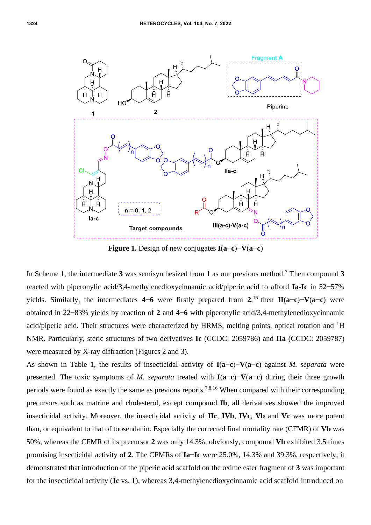

**Figure 1.** Design of new conjugates **I**(**a**−**c**)−**V**(**a**−**c**)

In Scheme 1, the intermediate **3** was semisynthesized from **1** as our previous method. <sup>7</sup> Then compound **3** reacted with piperonylic acid/3,4-methylenedioxycinnamic acid/piperic acid to afford **Ia-Ic** in 52−57% yields. Similarly, the intermediates **4**−**6** were firstly prepared from **2**, <sup>16</sup>then **II**(**a**−**c**)−**V**(**a**−**c**) were obtained in 22−83% yields by reaction of **2** and **4**−**6** with piperonylic acid/3,4-methylenedioxycinnamic acid/piperic acid. Their structures were characterized by HRMS, melting points, optical rotation and  ${}^{1}H$ NMR. Particularly, steric structures of two derivatives **Ic** (CCDC: 2059786) and **IIa** (CCDC: 2059787) were measured by X-ray diffraction (Figures 2 and 3).

As shown in Table 1, the results of insecticidal activity of **I**(**a**−**c**)−**V**(**a**−**c**) against *M. separata* were presented. The toxic symptoms of *M. separata* treated with **I**(**a**−**c**)−**V**(**a**−**c**) during their three growth periods were found as exactly the same as previous reports.7,8,16 When compared with their corresponding precursors such as matrine and cholesterol, except compound **Ib**, all derivatives showed the improved insecticidal activity. Moreover, the insecticidal activity of **IIc**, **IVb**, **IVc**, **Vb** and **Vc** was more potent than, or equivalent to that of toosendanin. Especially the corrected final mortality rate (CFMR) of **Vb** was 50%, whereas the CFMR of its precursor **2** was only 14.3%; obviously, compound **Vb** exhibited 3.5 times promising insecticidal activity of **2**. The CFMRs of **Ia**−**Ic** were 25.0%, 14.3% and 39.3%, respectively; it demonstrated that introduction of the piperic acid scaffold on the oxime ester fragment of **3** was important for the insecticidal activity (**Ic** vs. **1**), whereas 3,4-methylenedioxycinnamic acid scaffold introduced on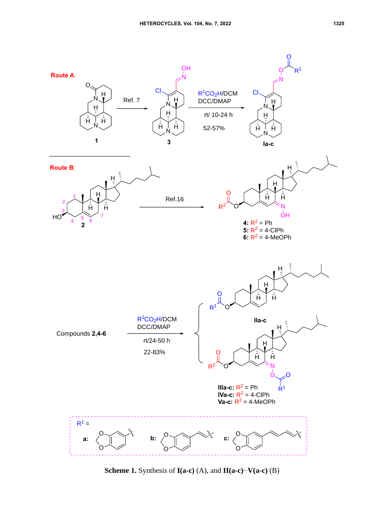

**Scheme 1.** Synthesis of **I(a-c)** (A), and **II(a-c)**−**V(a-c)** (B)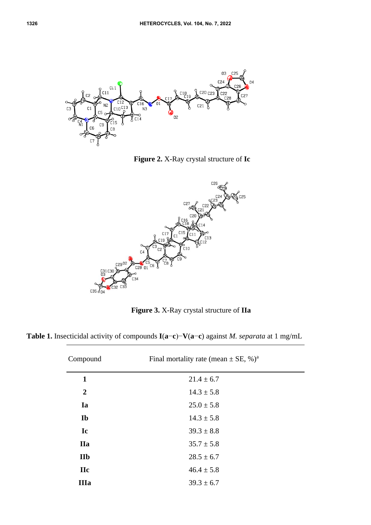

**Figure 2.** X-Ray crystal structure of **Ic**



**Figure 3.** X-Ray crystal structure of **IIa**

**Table 1.** Insecticidal activity of compounds **I**(**a**−**c**)−**V**(**a**−**c**) against *M. separata* at 1 mg/mL

| Compound         | Final mortality rate (mean $\pm$ SE, %) <sup>a</sup> |  |
|------------------|------------------------------------------------------|--|
| $\mathbf{1}$     | $21.4 \pm 6.7$                                       |  |
| $\boldsymbol{2}$ | $14.3 \pm 5.8$                                       |  |
| Ia               | $25.0 \pm 5.8$                                       |  |
| <b>Ib</b>        | $14.3 \pm 5.8$                                       |  |
| Ic               | $39.3 \pm 8.8$                                       |  |
| <b>IIa</b>       | $35.7 \pm 5.8$                                       |  |
| <b>IIb</b>       | $28.5 \pm 6.7$                                       |  |
| <b>IIc</b>       | $46.4 \pm 5.8$                                       |  |
| <b>IIIa</b>      | $39.3 \pm 6.7$                                       |  |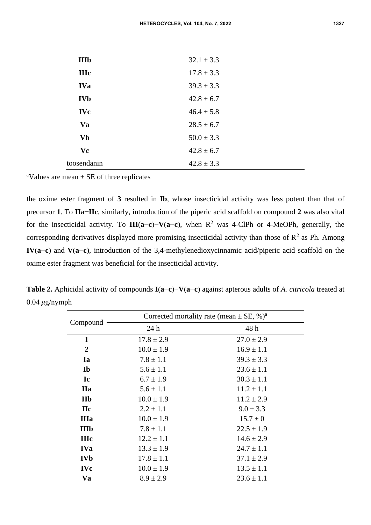| <b>IIIb</b> | $32.1 \pm 3.3$ |
|-------------|----------------|
| <b>IIIc</b> | $17.8 \pm 3.3$ |
| <b>IVa</b>  | $39.3 \pm 3.3$ |
| <b>IVb</b>  | $42.8 \pm 6.7$ |
| <b>IVc</b>  | $46.4 \pm 5.8$ |
| Va          | $28.5 \pm 6.7$ |
| <b>Vb</b>   | $50.0 \pm 3.3$ |
| Vc          | $42.8 \pm 6.7$ |
| toosendanin | $42.8 \pm 3.3$ |

<sup>a</sup>Values are mean  $\pm$  SE of three replicates

the oxime ester fragment of **3** resulted in **Ib**, whose insecticidal activity was less potent than that of precursor **1**. To **IIa−IIc**, similarly, introduction of the piperic acid scaffold on compound **2** was also vital for the insecticidal activity. To **III**(**a**−**c**)−**V**(**a**−**c**), when R<sup>2</sup> was 4-ClPh or 4-MeOPh, generally, the corresponding derivatives displayed more promising insecticidal activity than those of  $\mathbb{R}^2$  as Ph. Among **IV**(**a**−**c**) and **V**(**a**−**c**), introduction of the 3,4-methylenedioxycinnamic acid/piperic acid scaffold on the oxime ester fragment was beneficial for the insecticidal activity.

**Table 2.** Aphicidal activity of compounds **I**(**a**−**c**)−**V**(**a**−**c**) against apterous adults of *A. citricola* treated at 0.04 *μ*g/nymph

| Compound         | Corrected mortality rate (mean $\pm$ SE, %) <sup>a</sup> |                |
|------------------|----------------------------------------------------------|----------------|
|                  | 24h                                                      | 48 h           |
| $\mathbf{1}$     | $17.8 \pm 2.9$                                           | $27.0 \pm 2.9$ |
| $\boldsymbol{2}$ | $10.0 \pm 1.9$                                           | $16.9 \pm 1.1$ |
| Ia               | $7.8 \pm 1.1$                                            | $39.3 \pm 3.3$ |
| Ib               | $5.6 \pm 1.1$                                            | $23.6 \pm 1.1$ |
| Ic               | $6.7 \pm 1.9$                                            | $30.3 \pm 1.1$ |
| <b>IIa</b>       | $5.6 \pm 1.1$                                            | $11.2 \pm 1.1$ |
| <b>IIb</b>       | $10.0 \pm 1.9$                                           | $11.2 \pm 2.9$ |
| <b>IIc</b>       | $2.2 \pm 1.1$                                            | $9.0 \pm 3.3$  |
| <b>IIIa</b>      | $10.0 \pm 1.9$                                           | $15.7 \pm 0$   |
| <b>IIIb</b>      | $7.8 \pm 1.1$                                            | $22.5 \pm 1.9$ |
| <b>IIIc</b>      | $12.2 \pm 1.1$                                           | $14.6 \pm 2.9$ |
| <b>IVa</b>       | $13.3 \pm 1.9$                                           | $24.7 \pm 1.1$ |
| <b>IVb</b>       | $17.8 \pm 1.1$                                           | $37.1 \pm 2.9$ |
| <b>IVc</b>       | $10.0 \pm 1.9$                                           | $13.5 \pm 1.1$ |
| Va               | $8.9 \pm 2.9$                                            | $23.6 \pm 1.1$ |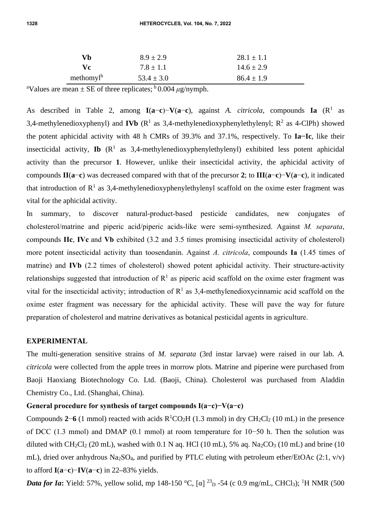| Vh.                   | $8.9 \pm 2.9$  | $28.1 \pm 1.1$ |
|-----------------------|----------------|----------------|
| Vc.                   | $7.8 \pm 1.1$  | $14.6 \pm 2.9$ |
| methomyl <sup>b</sup> | $53.4 \pm 3.0$ | $86.4 \pm 1.9$ |

<sup>a</sup>Values are mean  $\pm$  SE of three replicates;  $\frac{b}{0.004}$   $\mu$ g/nymph.

As described in Table 2, among **I**(**a**−**c**)−**V**(**a**−**c**), against *A. citricola*, compounds **Ia** (R<sup>1</sup> as 3,4-methylenedioxyphenyl) and **IVb** ( $\mathbb{R}^1$  as 3,4-methylenedioxyphenylethylenyl;  $\mathbb{R}^2$  as 4-ClPh) showed the potent aphicidal activity with 48 h CMRs of 39.3% and 37.1%, respectively. To **Ia−Ic**, like their insecticidal activity, **Ib**  $(R<sup>1</sup>$  as 3,4-methylenedioxyphenylethylenyl) exhibited less potent aphicidal activity than the precursor **1**. However, unlike their insecticidal activity, the aphicidal activity of compounds **II**(**a**−**c**) was decreased compared with that of the precursor **2**; to **III**(**a**−**c**)−**V**(**a**−**c**), it indicated that introduction of  $R<sup>1</sup>$  as 3,4-methylenedioxyphenylethylenyl scaffold on the oxime ester fragment was vital for the aphicidal activity.

In summary, to discover natural-product-based pesticide candidates, new conjugates of [cholesterol/](file:///F:/Dict/8.5.3.0/resultui/html/index.html%23/javascript:;)matrine and piperic acid/piperic acids-like were semi-synthesized. Against *M. separata*, compounds **IIc**, **IVc** and **Vb** exhibited (3.2 and 3.5 times promising insecticidal activity of cholesterol) more potent insecticidal activity than toosendanin. Against *A. citricola*, compounds **Ia** (1.45 times of matrine) and **IVb** (2.2 times of cholesterol) showed potent aphicidal activity. Their structure-activity relationships suggested that introduction of  $R<sup>1</sup>$  as piperic acid scaffold on the oxime ester fragment was vital for the insecticidal activity; introduction of  $R^1$  as 3,4-methylenedioxycinnamic acid scaffold on the oxime ester fragment was necessary for the aphicidal activity. These will pave the way for future preparation of [cholesterol](file:///F:/Dict/8.5.3.0/resultui/html/index.html%23/javascript:;) and matrine derivatives as botanical pesticidal agents in agriculture.

#### **EXPERIMENTAL**

The multi-generation sensitive strains of *M. separata* (3rd instar larvae) were raised in our lab. *A. citricola* were collected from the apple trees in morrow plots. Matrine and [piperine](https://www.sciencedirect.com/topics/pharmacology-toxicology-and-pharmaceutical-science/piperine) were purchased from Baoji Haoxiang Biotechnology Co. Ltd. (Baoji, China). Cholesterol was purchased from Aladdin Chemistry Co., Ltd. (Shanghai, China).

### **General procedure for synthesis of target compounds I(a−c)−V(a−c)**

Compounds  $2-6$  (1 mmol) reacted with acids  $R^1CO_2H$  (1.3 mmol) in dry CH<sub>2</sub>Cl<sub>2</sub> (10 mL) in the presence of DCC (1.3 mmol) and DMAP (0.1 mmol) at room temperature for 10−50 h. Then the solution was diluted with  $CH_2Cl_2$  (20 mL), washed with 0.1 N aq. HCl (10 mL), 5% aq. Na<sub>2</sub>CO<sub>3</sub> (10 mL) and brine (10 mL), dried over anhydrous Na<sub>2</sub>SO<sub>4</sub>, and purified by PTLC eluting with petroleum ether/EtOAc (2:1, v/v) to afford **I**(**a**−**c**)−**IV**(**a**−**c**) in 22**–**83% yields.

*Data for Ia*: Yield: 57%, yellow solid, mp 148-150 °C, [ $\alpha$ ] <sup>23</sup><sub>D</sub> -54 (c 0.9 mg/mL, CHCl<sub>3</sub>); <sup>1</sup>H NMR (500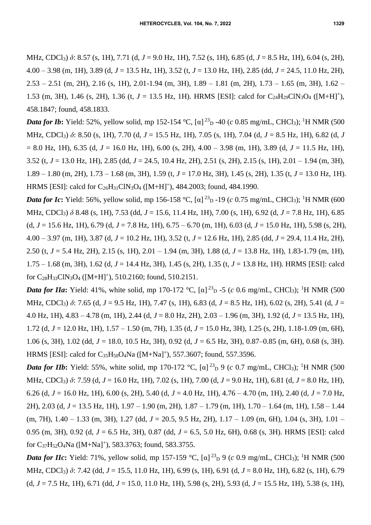MHz, CDCl3) *δ*: 8.57 (s, 1H), 7.71 (d, *J* = 9.0 Hz, 1H), 7.52 (s, 1H), 6.85 (d, *J* = 8.5 Hz, 1H), 6.04 (s, 2H), 4.00 – 3.98 (m, 1H), 3.89 (d, *J* = 13.5 Hz, 1H), 3.52 (t, *J* = 13.0 Hz, 1H), 2.85 (dd, *J* = 24.5, 11.0 Hz, 2H), 2.53 – 2.51 (m, 2H), 2.16 (s, 1H), 2.01-1.94 (m, 3H), 1.89 – 1.81 (m, 2H), 1.73 – 1.65 (m, 3H), 1.62 – 1.53 (m, 3H), 1.46 (s, 2H), 1.36 (t,  $J = 13.5$  Hz, 1H). HRMS [ESI]: calcd for C<sub>24</sub>H<sub>29</sub>ClN<sub>3</sub>O<sub>4</sub> ([M+H]<sup>+</sup>), 458.1847; found, 458.1833.

*Data for Ib*: Yield: 52%, yellow solid, mp 152-154 °C, [α]<sup>23</sup><sub>D</sub> -40 (*c* 0.85 mg/mL, CHCl<sub>3</sub>); <sup>1</sup>H NMR (500 MHz, CDCl3) *δ*: 8.50 (s, 1H), 7.70 (d, *J* = 15.5 Hz, 1H), 7.05 (s, 1H), 7.04 (d, *J* = 8.5 Hz, 1H), 6.82 (d, *J* = 8.0 Hz, 1H), 6.35 (d, *J* = 16.0 Hz, 1H), 6.00 (s, 2H), 4.00 – 3.98 (m, 1H), 3.89 (d, *J* = 11.5 Hz, 1H), 3.52 (t, *J* = 13.0 Hz, 1H), 2.85 (dd, *J* = 24.5, 10.4 Hz, 2H), 2.51 (s, 2H), 2.15 (s, 1H), 2.01 – 1.94 (m, 3H), 1.89 – 1.80 (m, 2H), 1.73 – 1.68 (m, 3H), 1.59 (t, *J* = 17.0 Hz, 3H), 1.45 (s, 2H), 1.35 (t, *J* = 13.0 Hz, 1H). HRMS [ESI]: calcd for  $C_{26}H_{31}CIN_3O_4$  ([M+H]<sup>+</sup>), 484.2003; found, 484.1990.

**Data for Ic**: Yield: 56%, yellow solid, mp 156-158 °C, [α]<sup>23</sup><sub>D</sub>-19 (*c* 0.75 mg/mL, CHCl<sub>3</sub>); <sup>1</sup>H NMR (600 MHz, CDCl3) *δ* 8.48 (s, 1H), 7.53 (dd, *J* = 15.6, 11.4 Hz, 1H), 7.00 (s, 1H), 6.92 (d, *J* = 7.8 Hz, 1H), 6.85 (d, *J* = 15.6 Hz, 1H), 6.79 (d, *J* = 7.8 Hz, 1H), 6.75 – 6.70 (m, 1H), 6.03 (d, *J* = 15.0 Hz, 1H), 5.98 (s, 2H), 4.00 – 3.97 (m, 1H), 3.87 (d, *J* = 10.2 Hz, 1H), 3.52 (t, *J* = 12.6 Hz, 1H), 2.85 (dd, *J* = 29.4, 11.4 Hz, 2H), 2.50 (t, *J* = 5.4 Hz, 2H), 2.15 (s, 1H), 2.01 – 1.94 (m, 3H), 1.88 (d, *J* = 13.8 Hz, 1H), 1.83-1.79 (m, 1H), 1.75 – 1.68 (m, 3H), 1.62 (d, *J* = 14.4 Hz, 3H), 1.45 (s, 2H), 1.35 (t, *J* = 13.8 Hz, 1H). HRMS [ESI]: calcd for  $C_{28}H_{33}CIN_3O_4$  ([M+H]<sup>+</sup>), 510.2160; found, 510.2151.

*Data for IIa*: Yield: 41%, white solid, mp 170-172 °C,  $[\alpha]^{23}$ <sub>D</sub> -5 (*c* 0.6 mg/mL, CHCl<sub>3</sub>); <sup>1</sup>H NMR (500 MHz, CDCl3) *δ*: 7.65 (d, *J* = 9.5 Hz, 1H), 7.47 (s, 1H), 6.83 (d, *J* = 8.5 Hz, 1H), 6.02 (s, 2H), 5.41 (d, *J* = 4.0 Hz, 1H), 4.83 – 4.78 (m, 1H), 2.44 (d, *J* = 8.0 Hz, 2H), 2.03 – 1.96 (m, 3H), 1.92 (d, *J* = 13.5 Hz, 1H), 1.72 (d, *J* = 12.0 Hz, 1H), 1.57 – 1.50 (m, 7H), 1.35 (d, *J* = 15.0 Hz, 3H), 1.25 (s, 2H), 1.18-1.09 (m, 6H), 1.06 (s, 3H), 1.02 (dd, *J* = 18.0, 10.5 Hz, 3H), 0.92 (d, *J* = 6.5 Hz, 3H), 0.87–0.85 (m, 6H), 0.68 (s, 3H). HRMS [ESI]: calcd for C<sub>35</sub>H<sub>50</sub>O<sub>4</sub>Na ([M+Na]<sup>+</sup>), 557.3607; found, 557.3596.

*Data for IIb*: Yield: 55%, white solid, mp 170-172 °C, [ $\alpha$ ]<sup>23</sup>D 9 (*c* 0.7 mg/mL, CHCl<sub>3</sub>); <sup>1</sup>H NMR (500 MHz, CDCl3) *δ*: 7.59 (d, *J* = 16.0 Hz, 1H), 7.02 (s, 1H), 7.00 (d, *J* = 9.0 Hz, 1H), 6.81 (d, *J* = 8.0 Hz, 1H), 6.26 (d, *J* = 16.0 Hz, 1H), 6.00 (s, 2H), 5.40 (d, *J* = 4.0 Hz, 1H), 4.76 – 4.70 (m, 1H), 2.40 (d, *J* = 7.0 Hz, 2H), 2.03 (d, *J* = 13.5 Hz, 1H), 1.97 – 1.90 (m, 2H), 1.87 – 1.79 (m, 1H), 1.70 – 1.64 (m, 1H), 1.58 – 1.44 (m, 7H), 1.40 – 1.33 (m, 3H), 1.27 (dd, *J* = 20.5, 9.5 Hz, 2H), 1.17 – 1.09 (m, 6H), 1.04 (s, 3H), 1.01 – 0.95 (m, 3H), 0.92 (d, *J* = 6.5 Hz, 3H), 0.87 (dd, *J* = 6.5, 5.0 Hz, 6H), 0.68 (s, 3H). HRMS [ESI]: calcd for  $C_{37}H_{52}O_4Na$  ([M+Na]<sup>+</sup>), 583.3763; found, 583.3755.

*Data for IIc*: Yield: 71%, yellow solid, mp 157-159 °C,  $[\alpha]^{23}$ <sub>D</sub> 9 (*c* 0.9 mg/mL, CHCl<sub>3</sub>); <sup>1</sup>H NMR (500 MHz, CDCl3) *δ*: 7.42 (dd, *J* = 15.5, 11.0 Hz, 1H), 6.99 (s, 1H), 6.91 (d, *J* = 8.0 Hz, 1H), 6.82 (s, 1H), 6.79 (d, *J* = 7.5 Hz, 1H), 6.71 (dd, *J* = 15.0, 11.0 Hz, 1H), 5.98 (s, 2H), 5.93 (d, *J* = 15.5 Hz, 1H), 5.38 (s, 1H),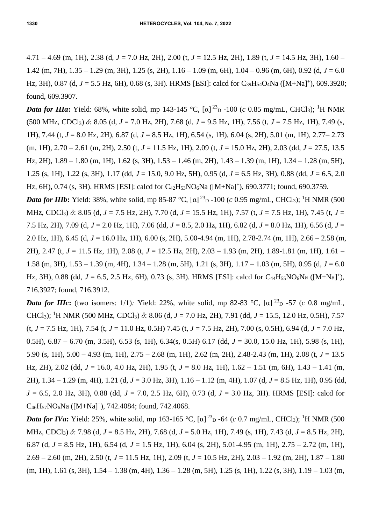4.71 – 4.69 (m, 1H), 2.38 (d, *J* = 7.0 Hz, 2H), 2.00 (t, *J* = 12.5 Hz, 2H), 1.89 (t, *J* = 14.5 Hz, 3H), 1.60 – 1.42 (m, 7H),  $1.35 - 1.29$  (m, 3H),  $1.25$  (s, 2H),  $1.16 - 1.09$  (m, 6H),  $1.04 - 0.96$  (m, 6H),  $0.92$  (d,  $J = 6.0$ Hz, 3H), 0.87 (d, J = 5.5 Hz, 6H), 0.68 (s, 3H). HRMS [ESI]: calcd for C<sub>39</sub>H<sub>54</sub>O<sub>4</sub>Na ([M+Na]<sup>+</sup>), 609.3920; found, 609.3907.

*Data for IIIa*: Yield: 68%, white solid, mp 143-145 °C, [ $\alpha$ ] <sup>23</sup><sub>D</sub> -100 (*c* 0.85 mg/mL, CHCl<sub>3</sub>); <sup>1</sup>H NMR (500 MHz, CDCl3) *δ*: 8.05 (d, *J* = 7.0 Hz, 2H), 7.68 (d, *J* = 9.5 Hz, 1H), 7.56 (t, *J* = 7.5 Hz, 1H), 7.49 (s, 1H), 7.44 (t, *J* = 8.0 Hz, 2H), 6.87 (d, *J* = 8.5 Hz, 1H), 6.54 (s, 1H), 6.04 (s, 2H), 5.01 (m, 1H), 2.77– 2.73 (m, 1H), 2.70 – 2.61 (m, 2H), 2.50 (t, *J* = 11.5 Hz, 1H), 2.09 (t, *J* = 15.0 Hz, 2H), 2.03 (dd, *J* = 27.5, 13.5 Hz, 2H), 1.89 – 1.80 (m, 1H), 1.62 (s, 3H), 1.53 – 1.46 (m, 2H), 1.43 – 1.39 (m, 1H), 1.34 – 1.28 (m, 5H), 1.25 (s, 1H), 1.22 (s, 3H), 1.17 (dd, *J* = 15.0, 9.0 Hz, 5H), 0.95 (d, *J* = 6.5 Hz, 3H), 0.88 (dd, *J* = 6.5, 2.0 Hz, 6H), 0.74 (s, 3H). HRMS [ESI]: calcd for C<sub>42</sub>H<sub>53</sub>NO<sub>6</sub>Na ([M+Na]<sup>+</sup>), 690.3771; found, 690.3759.

*Data for IIIb*: Yield: 38%, white solid, mp 85-87 °C, [a]<sup>23</sup><sub>D</sub>-100 (*c* 0.95 mg/mL, CHCl<sub>3</sub>); <sup>1</sup>H NMR (500 MHz, CDCl3) *δ*: 8.05 (d, *J* = 7.5 Hz, 2H), 7.70 (d, *J* = 15.5 Hz, 1H), 7.57 (t, *J* = 7.5 Hz, 1H), 7.45 (t, *J* = 7.5 Hz, 2H), 7.09 (d, *J* = 2.0 Hz, 1H), 7.06 (dd, *J* = 8.5, 2.0 Hz, 1H), 6.82 (d, *J* = 8.0 Hz, 1H), 6.56 (d, *J* = 2.0 Hz, 1H), 6.45 (d, *J* = 16.0 Hz, 1H), 6.00 (s, 2H), 5.00-4.94 (m, 1H), 2.78-2.74 (m, 1H), 2.66 – 2.58 (m, 2H), 2.47 (t, *J* = 11.5 Hz, 1H), 2.08 (t, *J* = 12.5 Hz, 2H), 2.03 – 1.93 (m, 2H), 1.89-1.81 (m, 1H), 1.61 – 1.58 (m, 3H), 1.53 – 1.39 (m, 4H), 1.34 – 1.28 (m, 5H), 1.21 (s, 3H), 1.17 – 1.03 (m, 5H), 0.95 (d, *J* = 6.0 Hz, 3H), 0.88 (dd,  $J = 6.5$ , 2.5 Hz, 6H), 0.73 (s, 3H). HRMS [ESI]: calcd for C<sub>44</sub>H<sub>55</sub>NO<sub>6</sub>Na ([M+Na]<sup>+</sup>), 716.3927; found, 716.3912.

*Data for IIIc*: (two isomers: 1/1): Yield: 22%, white solid, mp 82-83 °C, [α]  $^{23}$ <sub>D</sub> -57 (*c* 0.8 mg/mL, CHCl3); <sup>1</sup>H NMR (500 MHz, CDCl3) *δ*: 8.06 (d, *J* = 7.0 Hz, 2H), 7.91 (dd, *J* = 15.5, 12.0 Hz, 0.5H), 7.57 (t, *J* = 7.5 Hz, 1H), 7.54 (t, *J* = 11.0 Hz, 0.5H) 7.45 (t, *J* = 7.5 Hz, 2H), 7.00 (s, 0.5H), 6.94 (d, *J* = 7.0 Hz, 0.5H), 6.87 – 6.70 (m, 3.5H), 6.53 (s, 1H), 6.34(s, 0.5H) 6.17 (dd, *J* = 30.0, 15.0 Hz, 1H), 5.98 (s, 1H), 5.90 (s, 1H), 5.00 – 4.93 (m, 1H), 2.75 – 2.68 (m, 1H), 2.62 (m, 2H), 2.48-2.43 (m, 1H), 2.08 (t, *J* = 13.5 Hz, 2H), 2.02 (dd, *J* = 16.0, 4.0 Hz, 2H), 1.95 (t, *J* = 8.0 Hz, 1H), 1.62 – 1.51 (m, 6H), 1.43 – 1.41 (m, 2H), 1.34 – 1.29 (m, 4H), 1.21 (d, *J* = 3.0 Hz, 3H), 1.16 – 1.12 (m, 4H), 1.07 (d, *J* = 8.5 Hz, 1H), 0.95 (dd, *J* = 6.5, 2.0 Hz, 3H), 0.88 (dd, *J* = 7.0, 2.5 Hz, 6H), 0.73 (d, *J* = 3.0 Hz, 3H). HRMS [ESI]: calcd for  $C_{46}H_{57}NO_6Na$  ([M+Na]<sup>+</sup>), 742.4084; found, 742.4068.

*Data for IVa*: Yield: 25%, white solid, mp 163-165 °C, [α]<sup>23</sup><sub>D</sub> -64 (*c* 0.7 mg/mL, CHCl<sub>3</sub>); <sup>1</sup>H NMR (500 MHz, CDCl3) *δ*: 7.98 (d, *J* = 8.5 Hz, 2H), 7.68 (d, *J* = 5.0 Hz, 1H), 7.49 (s, 1H), 7.43 (d, *J* = 8.5 Hz, 2H), 6.87 (d, *J* = 8.5 Hz, 1H), 6.54 (d, *J* = 1.5 Hz, 1H), 6.04 (s, 2H), 5.01-4.95 (m, 1H), 2.75 – 2.72 (m, 1H), 2.69 – 2.60 (m, 2H), 2.50 (t, *J* = 11.5 Hz, 1H), 2.09 (t, *J* = 10.5 Hz, 2H), 2.03 – 1.92 (m, 2H), 1.87 – 1.80  $(m, 1H)$ , 1.61 (s, 3H), 1.54 – 1.38  $(m, 4H)$ , 1.36 – 1.28  $(m, 5H)$ , 1.25 (s, 1H), 1.22 (s, 3H), 1.19 – 1.03  $(m, m)$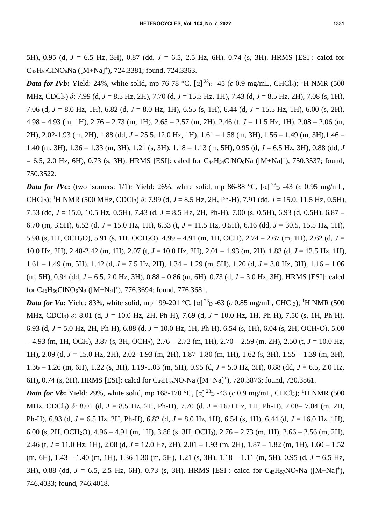5H), 0.95 (d, *J* = 6.5 Hz, 3H), 0.87 (dd, *J* = 6.5, 2.5 Hz, 6H), 0.74 (s, 3H). HRMS [ESI]: calcd for  $C_{42}H_{52}CINO_6Na$  ([M+Na]<sup>+</sup>), 724.3381; found, 724.3363.

*Data for IVb*: Yield: 24%, white solid, mp 76-78 °C, [α]<sup>23</sup><sub>D</sub> -45 (*c* 0.9 mg/mL, CHCl<sub>3</sub>); <sup>1</sup>H NMR (500 MHz, CDCl3) *δ*: 7.99 (d, *J* = 8.5 Hz, 2H), 7.70 (d, *J* = 15.5 Hz, 1H), 7.43 (d, *J* = 8.5 Hz, 2H), 7.08 (s, 1H), 7.06 (d, *J* = 8.0 Hz, 1H), 6.82 (d, *J* = 8.0 Hz, 1H), 6.55 (s, 1H), 6.44 (d, *J* = 15.5 Hz, 1H), 6.00 (s, 2H), 4.98 – 4.93 (m, 1H), 2.76 – 2.73 (m, 1H), 2.65 – 2.57 (m, 2H), 2.46 (t, *J* = 11.5 Hz, 1H), 2.08 – 2.06 (m, 2H), 2.02-1.93 (m, 2H), 1.88 (dd, *J* = 25.5, 12.0 Hz, 1H), 1.61 – 1.58 (m, 3H), 1.56 – 1.49 (m, 3H),1.46 – 1.40 (m, 3H), 1.36 – 1.33 (m, 3H), 1.21 (s, 3H), 1.18 – 1.13 (m, 5H), 0.95 (d, *J* = 6.5 Hz, 3H), 0.88 (dd, *J*  $= 6.5, 2.0$  Hz, 6H), 0.73 (s, 3H). HRMS [ESI]: calcd for C<sub>44</sub>H<sub>54</sub>ClNO<sub>6</sub>Na ([M+Na]<sup>+</sup>), 750.3537; found, 750.3522.

*Data for IVc*: (two isomers: 1/1): Yield: 26%, white solid, mp 86-88 °C, [α]  $^{23}$ <sub>D</sub> -43 (*c* 0.95 mg/mL, CHCl3); <sup>1</sup>H NMR (500 MHz, CDCl3) *δ*: 7.99 (d, *J* = 8.5 Hz, 2H, Ph-H), 7.91 (dd, *J* = 15.0, 11.5 Hz, 0.5H), 7.53 (dd, *J* = 15.0, 10.5 Hz, 0.5H), 7.43 (d, *J* = 8.5 Hz, 2H, Ph-H), 7.00 (s, 0.5H), 6.93 (d, 0.5H), 6.87 – 6.70 (m, 3.5H), 6.52 (d, *J* = 15.0 Hz, 1H), 6.33 (t, *J* = 11.5 Hz, 0.5H), 6.16 (dd, *J* = 30.5, 15.5 Hz, 1H), 5.98 (s, 1H, OCH2O), 5.91 (s, 1H, OCH2O), 4.99 – 4.91 (m, 1H, OCH), 2.74 – 2.67 (m, 1H), 2.62 (d, *J* = 10.0 Hz, 2H), 2.48-2.42 (m, 1H), 2.07 (t, *J* = 10.0 Hz, 2H), 2.01 – 1.93 (m, 2H), 1.83 (d, *J* = 12.5 Hz, 1H), 1.61 – 1.49 (m, 5H), 1.42 (d, *J* = 7.5 Hz, 2H), 1.34 – 1.29 (m, 5H), 1.20 (d, *J* = 3.0 Hz, 3H), 1.16 – 1.06 (m, 5H), 0.94 (dd, *J* = 6.5, 2.0 Hz, 3H), 0.88 – 0.86 (m, 6H), 0.73 (d, *J* = 3.0 Hz, 3H). HRMS [ESI]: calcd for C<sub>46</sub>H<sub>56</sub>ClNO<sub>6</sub>Na ([M+Na]<sup>+</sup>), 776.3694; found, 776.3681.

*Data for Va*: Yield: 83%, white solid, mp 199-201 °C, [α]<sup>23</sup><sub>D</sub> -63 (*c* 0.85 mg/mL, CHCl<sub>3</sub>); <sup>1</sup>H NMR (500 MHz, CDCl3) *δ*: 8.01 (d, *J* = 10.0 Hz, 2H, Ph-H), 7.69 (d, *J* = 10.0 Hz, 1H, Ph-H), 7.50 (s, 1H, Ph-H), 6.93 (d, *J* = 5.0 Hz, 2H, Ph-H), 6.88 (d, *J* = 10.0 Hz, 1H, Ph-H), 6.54 (s, 1H), 6.04 (s, 2H, OCH2O), 5.00 – 4.93 (m, 1H, OCH), 3.87 (s, 3H, OCH3), 2.76 – 2.72 (m, 1H), 2.70 – 2.59 (m, 2H), 2.50 (t, *J* = 10.0 Hz, 1H), 2.09 (d, *J* = 15.0 Hz, 2H), 2.02–1.93 (m, 2H), 1.87–1.80 (m, 1H), 1.62 (s, 3H), 1.55 – 1.39 (m, 3H), 1.36 – 1.26 (m, 6H), 1.22 (s, 3H), 1.19-1.03 (m, 5H), 0.95 (d, *J* = 5.0 Hz, 3H), 0.88 (dd, *J* = 6.5, 2.0 Hz, 6H), 0.74 (s, 3H). HRMS [ESI]: calcd for C<sub>43</sub>H<sub>55</sub>NO<sub>7</sub>Na ([M+Na]<sup>+</sup>), 720.3876; found, 720.3861.

*Data for Vb*: Yield: 29%, white solid, mp 168-170 °C, [ $\alpha$ ] <sup>23</sup><sub>D</sub> -43 (*c* 0.9 mg/mL, CHCl<sub>3</sub>); <sup>1</sup>H NMR (500 MHz, CDCl3) *δ*: 8.01 (d, *J* = 8.5 Hz, 2H, Ph-H), 7.70 (d, *J* = 16.0 Hz, 1H, Ph-H), 7.08– 7.04 (m, 2H, Ph-H), 6.93 (d, *J* = 6.5 Hz, 2H, Ph-H), 6.82 (d, *J* = 8.0 Hz, 1H), 6.54 (s, 1H), 6.44 (d, *J* = 16.0 Hz, 1H), 6.00 (s, 2H, OCH2O), 4.96 – 4.91 (m, 1H), 3.86 (s, 3H, OCH3), 2.76 – 2.73 (m, 1H), 2.66 – 2.56 (m, 2H), 2.46 (t, *J* = 11.0 Hz, 1H), 2.08 (d, *J* = 12.0 Hz, 2H), 2.01 – 1.93 (m, 2H), 1.87 – 1.82 (m, 1H), 1.60 – 1.52 (m, 6H), 1.43 – 1.40 (m, 1H), 1.36-1.30 (m, 5H), 1.21 (s, 3H), 1.18 – 1.11 (m, 5H), 0.95 (d, *J* = 6.5 Hz, 3H), 0.88 (dd,  $J = 6.5$ , 2.5 Hz, 6H), 0.73 (s, 3H). HRMS [ESI]: calcd for C<sub>45</sub>H<sub>57</sub>NO<sub>7</sub>Na ([M+Na]<sup>+</sup>), 746.4033; found, 746.4018.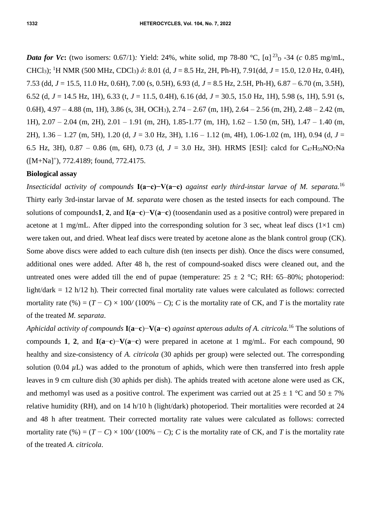*Data for Vc*: (two isomers: 0.67/1): Yield: 24%, white solid, mp 78-80 °C, [α]<sup>23</sup><sub>D</sub> -34 (*c* 0.85 mg/mL, CHCl3); <sup>1</sup>H NMR (500 MHz, CDCl3) *δ*: 8.01 (d, *J* = 8.5 Hz, 2H, Ph-H), 7.91(dd, *J* = 15.0, 12.0 Hz, 0.4H), 7.53 (dd, *J* = 15.5, 11.0 Hz, 0.6H), 7.00 (s, 0.5H), 6.93 (d, *J* = 8.5 Hz, 2.5H, Ph-H), 6.87 – 6.70 (m, 3.5H), 6.52 (d, *J* = 14.5 Hz, 1H), 6.33 (t, *J* = 11.5, 0.4H), 6.16 (dd, *J* = 30.5, 15.0 Hz, 1H), 5.98 (s, 1H), 5.91 (s, 0.6H),  $4.97 - 4.88$  (m, 1H),  $3.86$  (s, 3H, OCH<sub>3</sub>),  $2.74 - 2.67$  (m, 1H),  $2.64 - 2.56$  (m, 2H),  $2.48 - 2.42$  (m, 1H), 2.07 – 2.04 (m, 2H), 2.01 – 1.91 (m, 2H), 1.85-1.77 (m, 1H), 1.62 – 1.50 (m, 5H), 1.47 – 1.40 (m, 2H), 1.36 – 1.27 (m, 5H), 1.20 (d, *J* = 3.0 Hz, 3H), 1.16 – 1.12 (m, 4H), 1.06-1.02 (m, 1H), 0.94 (d, *J* = 6.5 Hz, 3H),  $0.87 - 0.86$  (m, 6H), 0.73 (d,  $J = 3.0$  Hz, 3H). HRMS [ESI]: calcd for C<sub>47</sub>H<sub>59</sub>NO<sub>7</sub>Na ([M+Na]<sup>+</sup>), 772.4189; found, 772.4175.

#### **Biological assay**

*Insecticidal activity of compounds* **I(a−c)−V(a−c)** *against early third-instar larvae of M. separata.*<sup>16</sup> Thirty early 3rd-instar larvae of *M. separata* were chosen as the tested insects for each compound. The solutions of compounds**1**, **2**, and **I**(**a**−**c**)−**V**(**a**−**c**) (toosendanin used as a positive control) were prepared in acetone at 1 mg/mL. After dipped into the corresponding solution for 3 sec, wheat leaf discs  $(1\times1$  cm) were taken out, and dried. Wheat leaf discs were treated by acetone alone as the blank control group (CK). Some above discs were added to each culture dish (ten insects per dish). Once the discs were consumed, additional ones were added. After 48 h, the rest of compound-soaked discs were cleaned out, and the untreated ones were added till the end of pupae (temperature:  $25 \pm 2$  °C; RH: 65–80%; photoperiod: light/dark = 12 h/12 h). Their corrected final mortality rate values were calculated as follows: corrected mortality rate  $(\%) = (T - C) \times 100 / (100\% - C)$ ; *C* is the mortality rate of CK, and *T* is the mortality rate of the treated *M. separata*.

*Aphicidal activity of compounds* **I**(**a**−**c**)−**V**(**a**−**c**) *against apterous adults of A. citricola.*<sup>16</sup> The solutions of compounds **1**, **2**, and **I**(**a**−**c**)−**V**(**a**−**c**) were prepared in acetone at 1 mg/mL. For each compound, 90 healthy and size-consistency of *A. citricola* (30 aphids per group) were selected out. The corresponding solution  $(0.04 \mu L)$  was added to the pronotum of aphids, which were then transferred into fresh apple leaves in 9 cm culture dish (30 aphids per dish). The aphids treated with acetone alone were used as CK, and methomyl was used as a positive control. The experiment was carried out at  $25 \pm 1$  °C and  $50 \pm 7\%$ relative humidity (RH), and on 14 h/10 h (light/dark) photoperiod. Their mortalities were recorded at 24 and 48 h after treatment. Their corrected mortality rate values were calculated as follows: corrected mortality rate (%) =  $(T - C) \times 100/ (100\% - C)$ ; *C* is the mortality rate of CK, and *T* is the mortality rate of the treated *A. citricola*.